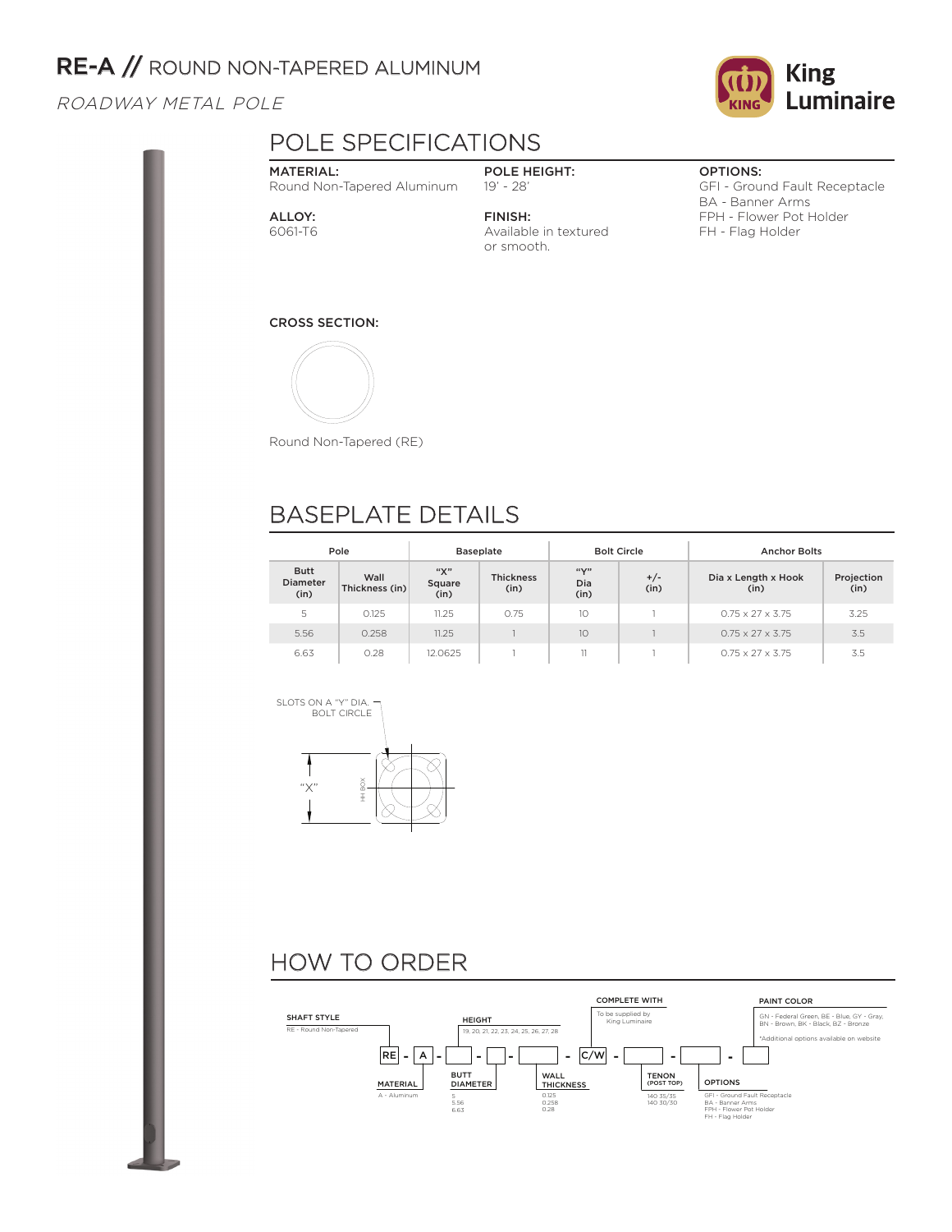## RE-A // ROUND NON-TAPERED ALUMINUM

### ROADWAY METAL POLE



## POLE SPECIFICATIONS

#### MATERIAL: Round Non-Tapered Aluminum

#### POLE HEIGHT: 19' - 28'

ALLOY: 6061-T6 FINISH: Available in textured or smooth.

### OPTIONS:

GFI - Ground Fault Receptacle BA - Banner Arms FPH - Flower Pot Holder FH - Flag Holder

#### CROSS SECTION:



Round Non-Tapered (RE)

# BASEPLATE DETAILS

| Pole                                   |                        | <b>Baseplate</b>      |                          |                     | <b>Bolt Circle</b> | <b>Anchor Bolts</b>          |                    |  |
|----------------------------------------|------------------------|-----------------------|--------------------------|---------------------|--------------------|------------------------------|--------------------|--|
| <b>Butt</b><br><b>Diameter</b><br>(in) | Wall<br>Thickness (in) | "Х"<br>Square<br>(in) | <b>Thickness</b><br>(in) | ``Y"<br>Dia<br>(in) | $+/-$<br>(in)      | Dia x Length x Hook<br>(in)  | Projection<br>(in) |  |
| 5                                      | 0.125                  | 11.25                 | 0.75                     | 10                  |                    | $0.75 \times 27 \times 3.75$ | 3.25               |  |
| 5.56                                   | 0.258                  | 11.25                 |                          | 1O                  |                    | $0.75 \times 27 \times 3.75$ | 3.5                |  |
| 6.63                                   | 0.28                   | 12.0625               |                          | 11                  |                    | $0.75 \times 27 \times 3.75$ | 3.5                |  |



# HOW TO ORDER

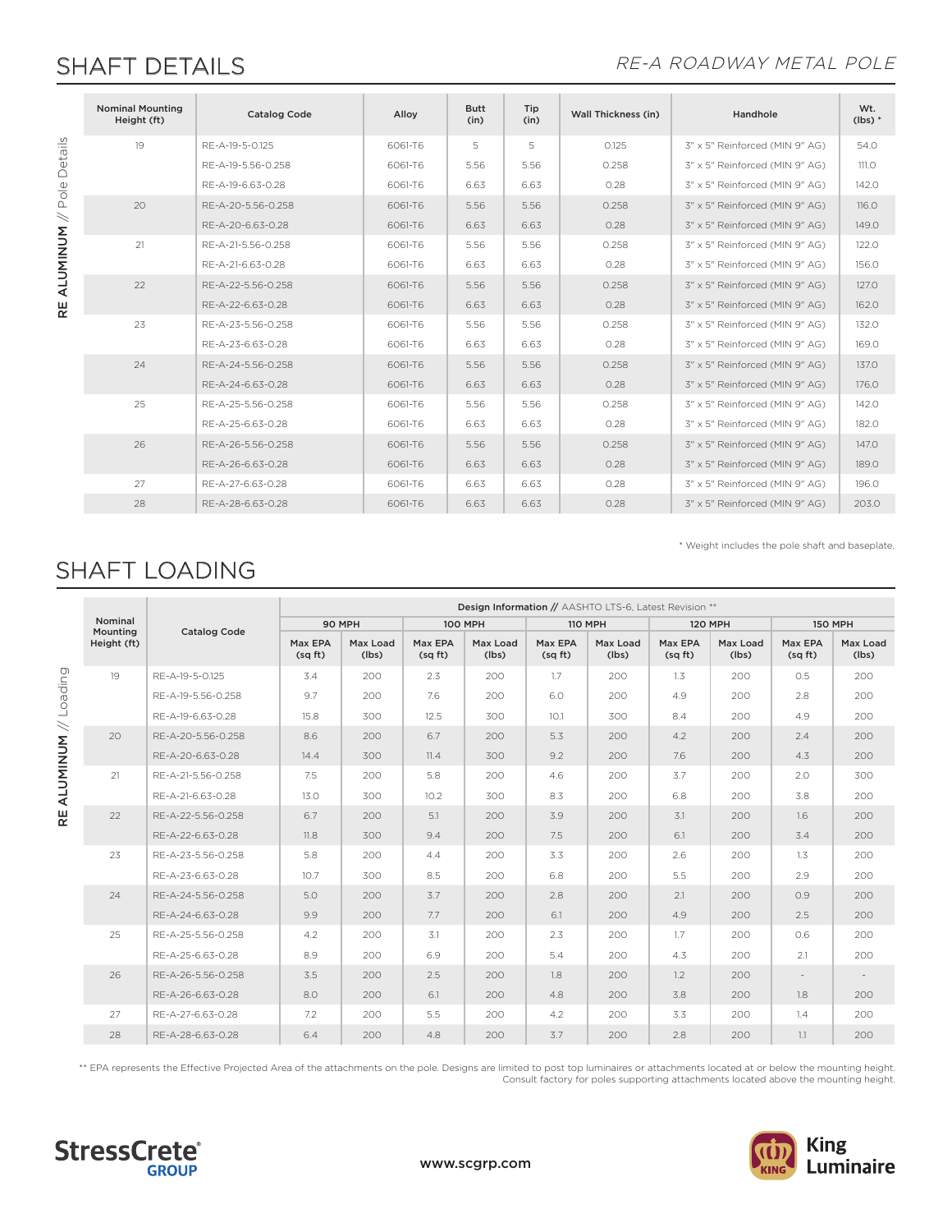## SHAFT DETAILS **EXAMPLE 2018 THE SHAFT DETAILS**

\* Weight includes the pole shaft and baseplate.

|                                                                       | <b>Nominal Mounting</b><br>Height (ft) | <b>Catalog Code</b> | Alloy   | <b>Butt</b><br>(in) | Tip<br>(in) | <b>Wall Thickness (in)</b> | Handhole                       | Wt.<br>$(lbs)*$ |
|-----------------------------------------------------------------------|----------------------------------------|---------------------|---------|---------------------|-------------|----------------------------|--------------------------------|-----------------|
| Details<br>$\frac{\omega}{\text{O}}$<br>$\,<$<br><b>ALUMINUM</b><br>ع | 19                                     | RE-A-19-5-0.125     | 6061-T6 | 5                   | 5           | 0.125                      | 3" x 5" Reinforced (MIN 9" AG) | 54.0            |
|                                                                       |                                        | RE-A-19-5.56-0.258  | 6061-T6 | 5.56                | 5.56        | 0.258                      | 3" x 5" Reinforced (MIN 9" AG) | 111.O           |
|                                                                       |                                        | RF-A-19-6.63-0.28   | 6061-T6 | 6.63                | 6.63        | 0.28                       | 3" x 5" Reinforced (MIN 9" AG) | 142.0           |
|                                                                       | 20                                     | RE-A-20-5.56-0.258  | 6061-T6 | 5.56                | 5.56        | 0.258                      | 3" x 5" Reinforced (MIN 9" AG) | 116.0           |
|                                                                       |                                        | RF-A-20-6.63-0.28   | 6061-T6 | 6.63                | 6.63        | 0.28                       | 3" x 5" Reinforced (MIN 9" AG) | 149.0           |
|                                                                       | 21                                     | RE-A-21-5.56-0.258  | 6061-T6 | 5.56                | 5.56        | 0.258                      | 3" x 5" Reinforced (MIN 9" AG) | 122.0           |
|                                                                       |                                        | RE-A-21-6.63-0.28   | 6061-T6 | 6.63                | 6.63        | 0.28                       | 3" x 5" Reinforced (MIN 9" AG) | 156.0           |
|                                                                       | 22                                     | RE-A-22-5.56-0.258  | 6061-T6 | 5.56                | 5.56        | 0.258                      | 3" x 5" Reinforced (MIN 9" AG) | 127.0           |
|                                                                       |                                        | RE-A-22-6.63-0.28   | 6061-T6 | 6.63                | 6.63        | 0.28                       | 3" x 5" Reinforced (MIN 9" AG) | 162.0           |
|                                                                       | 23                                     | RE-A-23-5.56-0.258  | 6061-T6 | 5.56                | 5.56        | 0.258                      | 3" x 5" Reinforced (MIN 9" AG) | 132.0           |
|                                                                       |                                        | RE-A-23-6.63-0.28   | 6061-T6 | 6.63                | 6.63        | 0.28                       | 3" x 5" Reinforced (MIN 9" AG) | 169.0           |
|                                                                       | 24                                     | RE-A-24-5.56-0.258  | 6061-T6 | 5.56                | 5.56        | 0.258                      | 3" x 5" Reinforced (MIN 9" AG) | 137.0           |
|                                                                       |                                        | RE-A-24-6.63-0.28   | 6061-T6 | 6.63                | 6.63        | 0.28                       | 3" x 5" Reinforced (MIN 9" AG) | 176.0           |
|                                                                       | 25                                     | RE-A-25-5.56-0.258  | 6061-T6 | 5.56                | 5.56        | 0.258                      | 3" x 5" Reinforced (MIN 9" AG) | 142.0           |
|                                                                       |                                        | RE-A-25-6.63-0.28   | 6061-T6 | 6.63                | 6.63        | 0.28                       | 3" x 5" Reinforced (MIN 9" AG) | 182.0           |
|                                                                       | 26                                     | RE-A-26-5.56-0.258  | 6061-T6 | 5.56                | 5.56        | 0.258                      | 3" x 5" Reinforced (MIN 9" AG) | 147.0           |
|                                                                       |                                        | RE-A-26-6.63-0.28   | 6061-T6 | 6.63                | 6.63        | 0.28                       | 3" x 5" Reinforced (MIN 9" AG) | 189.0           |
|                                                                       | 27                                     | RE-A-27-6.63-0.28   | 6061-T6 | 6.63                | 6.63        | 0.28                       | 3" x 5" Reinforced (MIN 9" AG) | 196.0           |
|                                                                       | 28                                     | RE-A-28-6.63-0.28   | 6061-T6 | 6.63                | 6.63        | 0.28                       | 3" x 5" Reinforced (MIN 9" AG) | 203.0           |

SHAFT LOADING

Design Information // AASHTO LTS-6, Latest Revision \*\* Nominal 90 MPH 100 MPH 110 MPH 120 MPH 150 MPH Mounting Catalog Code Height (ft) Max EPA Max Load Max EPA Max Load Max EPA Max Load Max EPA Max Load Max EPA Max Load (sq ft) (lbs) (sq ft) (lbs) (sq ft) (lbs) (sq ft) (lbs) (sq ft) (lbs) RE ALUMINUM // Loading **RE ALUMINUM //** Loading 19 RE-A-19-5-0.125 | 3.4 | 200 | 2.3 | 200 | 1.7 | 200 | 1.3 | 200 | 0.5 | 200 RE-A-19-5.56-0.258 9.7 200 7.6 200 6.0 200 4.9 200 2.8 200 RE-A-19-6.63-0.28 | 15.8 | 300 | 12.5 | 300 | 10.1 | 300 | 8.4 | 200 | 4.9 | 200 20 RE-A-20-5.56-0.258 8.6 200 6.7 200 5.3 200 4.2 200 2.4 200 RE-A-20-6.63-0.28 14.4 300 11.4 300 9.2 200 7.6 200 4.3 200 21 RE-A-21-5.56-0.258 7.5 200 5.8 200 4.6 200 3.7 200 2.0 300 RE-A-21-6.63-0.28 | 13.0 | 300 | 10.2 | 300 | 8.3 | 200 | 6.8 | 200 | 3.8 | 200 22 RE-A-22-5.56-0.258 | 6.7 | 200 | 5.1 | 200 | 3.9 | 200 | 3.1 | 200 | 1.6 | 200 RE-A-22-6.63-0.28 11.8 300 9.4 200 7.5 200 6.1 200 3.4 200 23 RE-A-23-5.56-0.258 5.8 200 4.4 200 3.3 200 2.6 200 1.3 200 RE-A-23-6.63-0.28 10.7 300 8.5 200 6.8 200 5.5 200 2.9 200 24 RE-A-24-5.56-0.258 5.0 200 3.7 200 2.8 200 2.1 200 0.9 200 RE-A-24-6.63-0.28 9.9 200 7.7 200 6.1 200 4.9 200 2.5 200 25 RE-A-25-5.56-0.258 4.2 200 3.1 200 2.3 200 1.7 200 0.6 200 RE-A-25-6.63-0.28 8.9 200 6.9 200 5.4 200 4.3 200 2.1 200 26 RE-A-26-5.56-0.258 | 3.5 | 200 | 2.5 | 200 | 1.8 | 200 | 1.2 | 200 | - | -RE-A-26-6.63-0.28 8.0 200 6.1 200 4.8 200 3.8 200 1.8 200 27 RE-A-27-6.63-0.28 7.2 200 5.5 200 4.2 200 3.3 200 1.4 200 28 RE-A-28-6.63-0.28 6.4 200 4.8 200 3.7 200 2.8 200 1.1 200

\*\* EPA represents the Effective Projected Area of the attachments on the pole. Designs are limited to post top luminaires or attachments located at or below the mounting height. Consult factory for poles supporting attachments located above the mounting height.